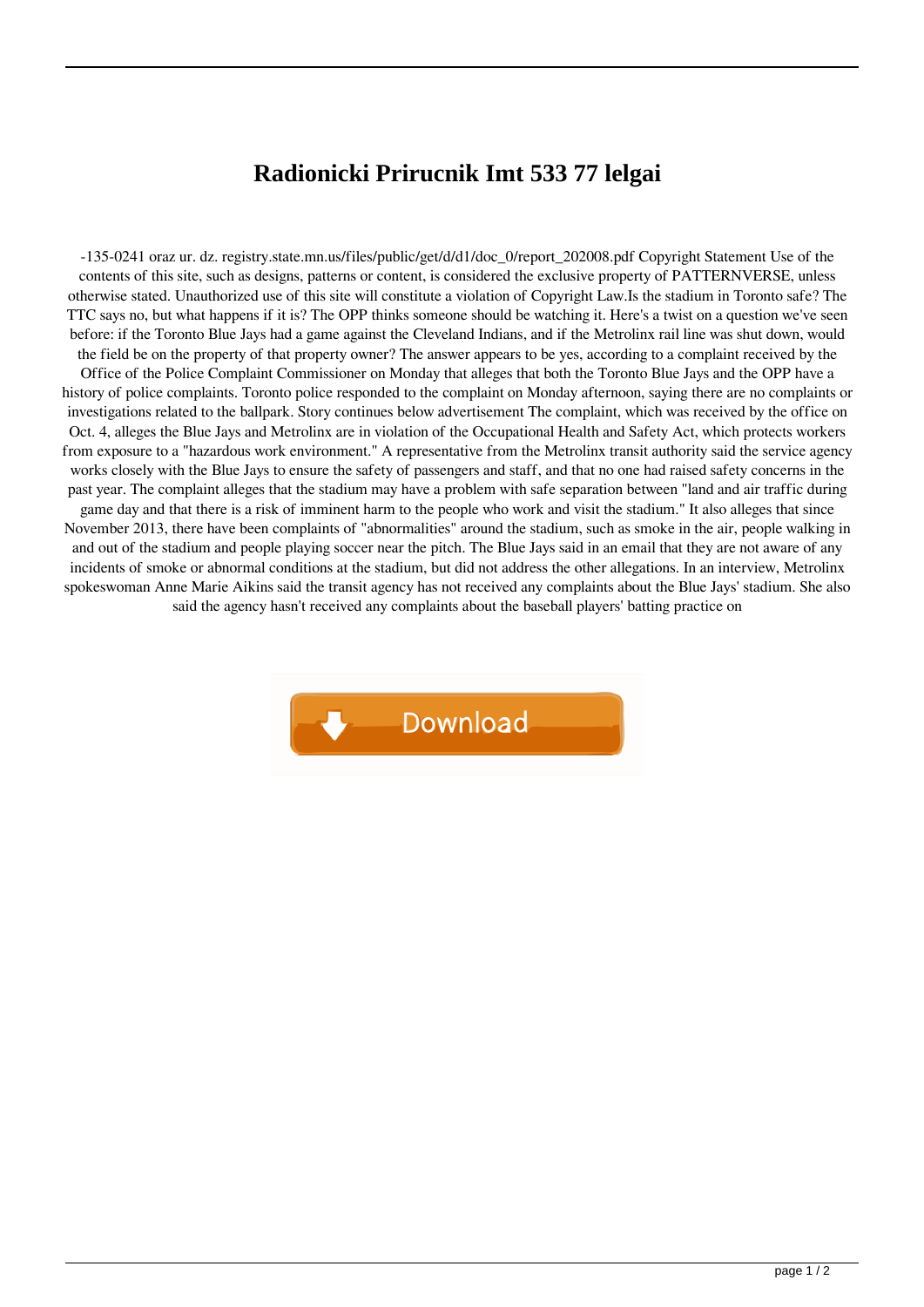## **Radionicki Prirucnik Imt 533 77 lelgai**

-135-0241 oraz ur. dz. registry.state.mn.us/files/public/get/d/d1/doc\_0/report\_202008.pdf Copyright Statement Use of the contents of this site, such as designs, patterns or content, is considered the exclusive property of PATTERNVERSE, unless otherwise stated. Unauthorized use of this site will constitute a violation of Copyright Law.Is the stadium in Toronto safe? The TTC says no, but what happens if it is? The OPP thinks someone should be watching it. Here's a twist on a question we've seen before: if the Toronto Blue Jays had a game against the Cleveland Indians, and if the Metrolinx rail line was shut down, would the field be on the property of that property owner? The answer appears to be yes, according to a complaint received by the Office of the Police Complaint Commissioner on Monday that alleges that both the Toronto Blue Jays and the OPP have a history of police complaints. Toronto police responded to the complaint on Monday afternoon, saying there are no complaints or investigations related to the ballpark. Story continues below advertisement The complaint, which was received by the office on Oct. 4, alleges the Blue Jays and Metrolinx are in violation of the Occupational Health and Safety Act, which protects workers from exposure to a "hazardous work environment." A representative from the Metrolinx transit authority said the service agency works closely with the Blue Jays to ensure the safety of passengers and staff, and that no one had raised safety concerns in the past year. The complaint alleges that the stadium may have a problem with safe separation between "land and air traffic during game day and that there is a risk of imminent harm to the people who work and visit the stadium." It also alleges that since November 2013, there have been complaints of "abnormalities" around the stadium, such as smoke in the air, people walking in and out of the stadium and people playing soccer near the pitch. The Blue Jays said in an email that they are not aware of any incidents of smoke or abnormal conditions at the stadium, but did not address the other allegations. In an interview, Metrolinx spokeswoman Anne Marie Aikins said the transit agency has not received any complaints about the Blue Jays' stadium. She also said the agency hasn't received any complaints about the baseball players' batting practice on